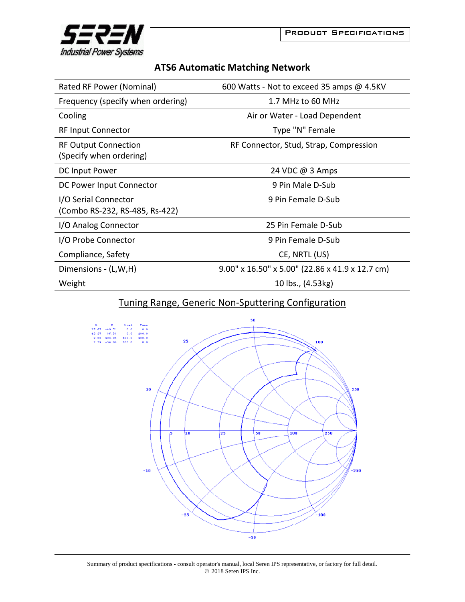

## **ATS6 Automatic Matching Network**

| Rated RF Power (Nominal)                               | 600 Watts - Not to exceed 35 amps @ 4.5KV                |
|--------------------------------------------------------|----------------------------------------------------------|
| Frequency (specify when ordering)                      | 1.7 MHz to 60 MHz                                        |
| Cooling                                                | Air or Water - Load Dependent                            |
| <b>RF Input Connector</b>                              | Type "N" Female                                          |
| <b>RF Output Connection</b><br>(Specify when ordering) | RF Connector, Stud, Strap, Compression                   |
| DC Input Power                                         | 24 VDC @ 3 Amps                                          |
| DC Power Input Connector                               | 9 Pin Male D-Sub                                         |
| I/O Serial Connector<br>(Combo RS-232, RS-485, Rs-422) | 9 Pin Female D-Sub                                       |
| I/O Analog Connector                                   | 25 Pin Female D-Sub                                      |
| I/O Probe Connector                                    | 9 Pin Female D-Sub                                       |
| Compliance, Safety                                     | CE, NRTL (US)                                            |
| Dimensions - (L,W,H)                                   | $9.00''$ x $16.50''$ x $5.00''$ (22.86 x 41.9 x 12.7 cm) |
| Weight                                                 | 10 lbs., (4.53kg)                                        |

## Tuning Range, Generic Non‐Sputtering Configuration